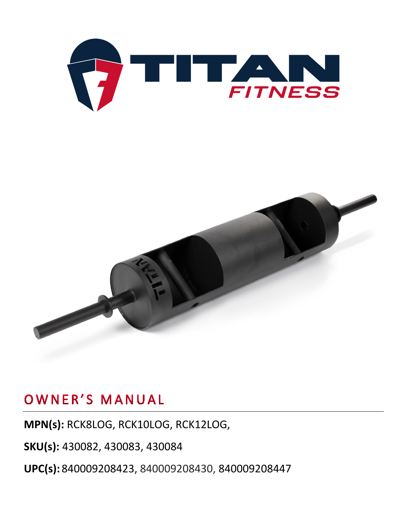



**MPN(s):** RCK8LOG, RCK10LOG, RCK12LOG,

**SKU(s):** 430082, 430083, 430084

**UPC(s):** 840009208423, 840009208430, 840009208447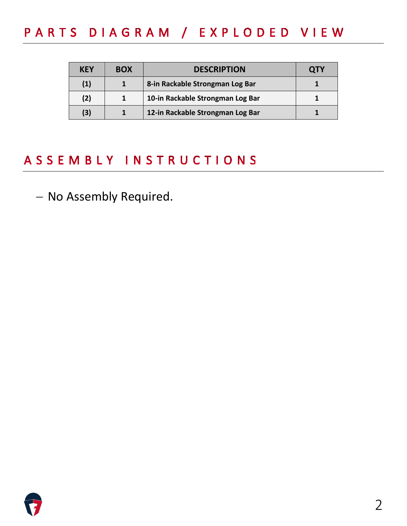## PARTS DIAGRAM / EXPLODED VIEW

| KEY | <b>BOX</b> | <b>DESCRIPTION</b>               | <b>QTY</b> |
|-----|------------|----------------------------------|------------|
| (1) |            | 8-in Rackable Strongman Log Bar  |            |
| (2) |            | 10-in Rackable Strongman Log Bar |            |
| (3) |            | 12-in Rackable Strongman Log Bar |            |

### ASSEMBLY INSTRUCTIONS

− No Assembly Required.